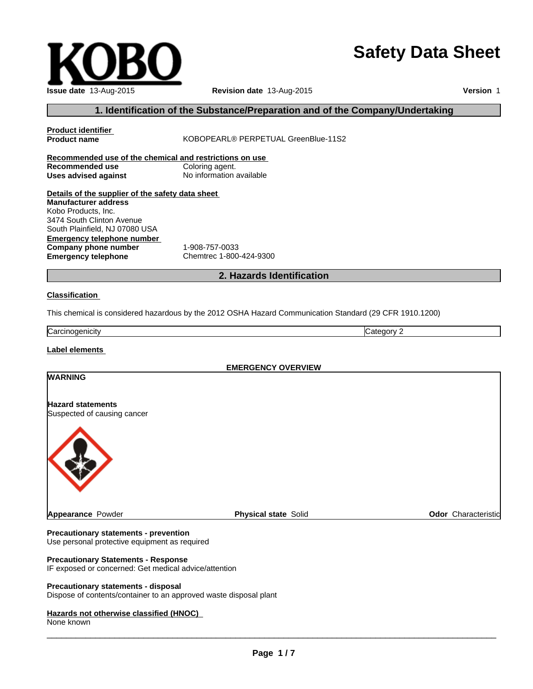# **Safety Data Sheet**

| sposal |  |  |
|--------|--|--|

**Precautionary statements - disp** Dispose of contents/container to an approved waste disposal plant

### **Hazards not otherwise classified (HNOC)**

Use personal protective equipment as required

IF exposed or concerned: Get medical advice/attention

**Precautionary Statements - Response**

None known

 $\overline{\phantom{a}}$  ,  $\overline{\phantom{a}}$  ,  $\overline{\phantom{a}}$  ,  $\overline{\phantom{a}}$  ,  $\overline{\phantom{a}}$  ,  $\overline{\phantom{a}}$  ,  $\overline{\phantom{a}}$  ,  $\overline{\phantom{a}}$  ,  $\overline{\phantom{a}}$  ,  $\overline{\phantom{a}}$  ,  $\overline{\phantom{a}}$  ,  $\overline{\phantom{a}}$  ,  $\overline{\phantom{a}}$  ,  $\overline{\phantom{a}}$  ,  $\overline{\phantom{a}}$  ,  $\overline{\phantom{a}}$ 

**1. Identification of the Substance/Preparation and of the Company/Undertaking Product identifier Product name** KOBOPEARL® PERPETUAL GreenBlue-11S2

**Recommended use of the chemical and restrictions on use Recommended use<br>Uses advised against Uses advised against** No information available

**Details of the supplier of the safety data sheet Emergency telephone number Company phone number** 1-908-757-0033<br> **Emergency telephone** Chemtrec 1-800 **Manufacturer address** Kobo Products, Inc. 3474 South Clinton Avenue South Plainfield, NJ 07080 USA

**Emergency telephone** Chemtrec 1-800-424-9300

# **2. Hazards Identification**

### **Classification**

This chemical is considered hazardous by the 2012 OSHA Hazard Communication Standard (29 CFR 1910.1200)

Carcinogenicity **Category 2** 

**Label elements** 

**EMERGENCY OVERVIEW**

| <b>WARNING</b>              |                             |                     |
|-----------------------------|-----------------------------|---------------------|
| <b>Hazard statements</b>    |                             |                     |
| Suspected of causing cancer |                             |                     |
|                             |                             |                     |
|                             |                             |                     |
|                             |                             |                     |
|                             |                             |                     |
|                             |                             |                     |
| Appearance Powder           | <b>Physical state Solid</b> | Odor Characteristic |

# **Issue date** 13-Aug-2015 **Revision date** 13-Aug-2015

**Version** 1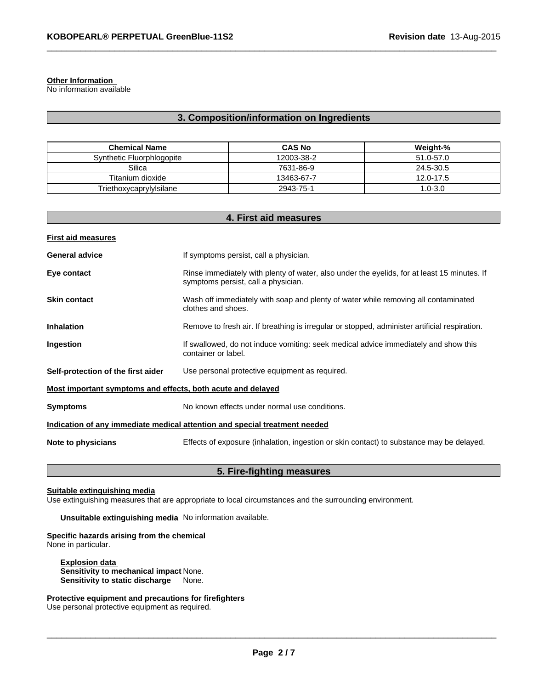### **Other Information**

No information available

### **3. Composition/information on Ingredients**

 $\_$  ,  $\_$  ,  $\_$  ,  $\_$  ,  $\_$  ,  $\_$  ,  $\_$  ,  $\_$  ,  $\_$  ,  $\_$  ,  $\_$  ,  $\_$  ,  $\_$  ,  $\_$  ,  $\_$  ,  $\_$  ,  $\_$  ,  $\_$  ,  $\_$  ,  $\_$  ,  $\_$  ,  $\_$  ,  $\_$  ,  $\_$  ,  $\_$  ,  $\_$  ,  $\_$  ,  $\_$  ,  $\_$  ,  $\_$  ,  $\_$  ,  $\_$  ,  $\_$  ,  $\_$  ,  $\_$  ,  $\_$  ,  $\_$  ,

| <b>Chemical Name</b>      | <b>CAS No</b> | Weight-%  |
|---------------------------|---------------|-----------|
| Synthetic Fluorphlogopite | 12003-38-2    | 51.0-57.0 |
| Silica                    | 7631-86-9     | 24.5-30.5 |
| Titanium dioxide          | 13463-67-7    | 12.0-17.5 |
| Triethoxycaprylylsilane   | 2943-75-1     | 1.0-3.0   |

| 4. First aid measures                                       |                                                                                                                                    |  |
|-------------------------------------------------------------|------------------------------------------------------------------------------------------------------------------------------------|--|
| <b>First aid measures</b>                                   |                                                                                                                                    |  |
| <b>General advice</b>                                       | If symptoms persist, call a physician.                                                                                             |  |
| Eye contact                                                 | Rinse immediately with plenty of water, also under the eyelids, for at least 15 minutes. If<br>symptoms persist, call a physician. |  |
| <b>Skin contact</b>                                         | Wash off immediately with soap and plenty of water while removing all contaminated<br>clothes and shoes.                           |  |
| Inhalation                                                  | Remove to fresh air. If breathing is irregular or stopped, administer artificial respiration.                                      |  |
| Ingestion                                                   | If swallowed, do not induce vomiting: seek medical advice immediately and show this<br>container or label.                         |  |
| Self-protection of the first aider                          | Use personal protective equipment as required.                                                                                     |  |
| Most important symptoms and effects, both acute and delayed |                                                                                                                                    |  |
| <b>Symptoms</b>                                             | No known effects under normal use conditions.                                                                                      |  |
|                                                             | Indication of any immediate medical attention and special treatment needed                                                         |  |
| Note to physicians                                          | Effects of exposure (inhalation, ingestion or skin contact) to substance may be delayed.                                           |  |
|                                                             |                                                                                                                                    |  |

### **5. Fire-fighting measures**

### **Suitable extinguishing media**

Use extinguishing measures that are appropriate to local circumstances and the surrounding environment.

**Unsuitable extinguishing media** No information available.

### **Specific hazards arising from the chemical**

None in particular.

**Explosion data Sensitivity to mechanical impact** None. **Sensitivity to static discharge** None.

**Protective equipment and precautions for firefighters** Use personal protective equipment as required.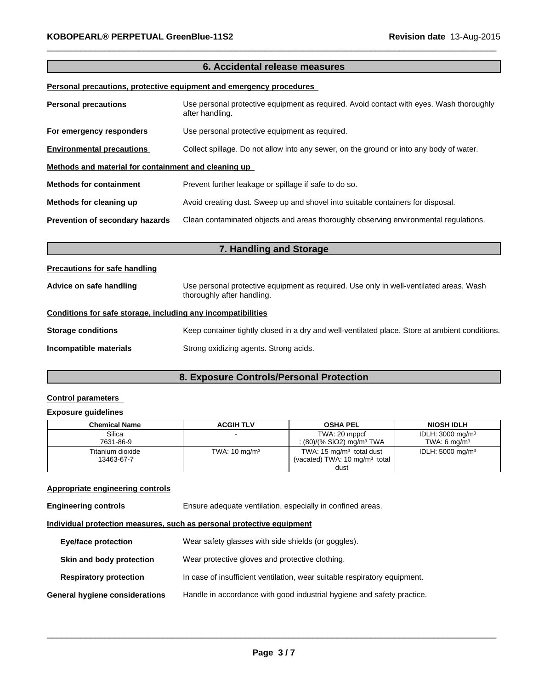## **6. Accidental release measures**

 $\_$  ,  $\_$  ,  $\_$  ,  $\_$  ,  $\_$  ,  $\_$  ,  $\_$  ,  $\_$  ,  $\_$  ,  $\_$  ,  $\_$  ,  $\_$  ,  $\_$  ,  $\_$  ,  $\_$  ,  $\_$  ,  $\_$  ,  $\_$  ,  $\_$  ,  $\_$  ,  $\_$  ,  $\_$  ,  $\_$  ,  $\_$  ,  $\_$  ,  $\_$  ,  $\_$  ,  $\_$  ,  $\_$  ,  $\_$  ,  $\_$  ,  $\_$  ,  $\_$  ,  $\_$  ,  $\_$  ,  $\_$  ,  $\_$  ,

### **Personal precautions, protective equipment and emergency procedures**

| <b>Personal precautions</b>                          | Use personal protective equipment as required. Avoid contact with eyes. Wash thoroughly<br>after handling. |
|------------------------------------------------------|------------------------------------------------------------------------------------------------------------|
| For emergency responders                             | Use personal protective equipment as required.                                                             |
| <b>Environmental precautions</b>                     | Collect spillage. Do not allow into any sewer, on the ground or into any body of water.                    |
| Methods and material for containment and cleaning up |                                                                                                            |
| <b>Methods for containment</b>                       | Prevent further leakage or spillage if safe to do so.                                                      |
| Methods for cleaning up                              | Avoid creating dust. Sweep up and shovel into suitable containers for disposal.                            |
| Prevention of secondary hazards                      | Clean contaminated objects and areas thoroughly observing environmental regulations.                       |

| 7. Handling and Storage                                      |                                                                                                                      |  |
|--------------------------------------------------------------|----------------------------------------------------------------------------------------------------------------------|--|
| <b>Precautions for safe handling</b>                         |                                                                                                                      |  |
| Advice on safe handling                                      | Use personal protective equipment as required. Use only in well-ventilated areas. Wash<br>thoroughly after handling. |  |
| Conditions for safe storage, including any incompatibilities |                                                                                                                      |  |
| <b>Storage conditions</b>                                    | Keep container tightly closed in a dry and well-ventilated place. Store at ambient conditions.                       |  |
| Incompatible materials                                       | Strong oxidizing agents. Strong acids.                                                                               |  |

# **8. Exposure Controls/Personal Protection**

### **Control parameters**

### **Exposure guidelines**

| <b>Chemical Name</b> | <b>ACGIH TLV</b>         | <b>OSHA PEL</b>                          | <b>NIOSH IDLH</b>           |
|----------------------|--------------------------|------------------------------------------|-----------------------------|
| Silica               |                          | TWA: 20 mppcf                            | IDLH: $3000 \text{ mg/m}^3$ |
| 7631-86-9            |                          | : (80)/(% SiO2) mg/m <sup>3</sup> TWA    | TWA: 6 $ma/m3$              |
| Titanium dioxide     | TWA: $10 \text{ mg/m}^3$ | TWA: $15 \text{ mg/m}^3$ total dust      | IDLH: $5000 \text{ mg/m}^3$ |
| 13463-67-7           |                          | (vacated) TWA: $10 \text{ mg/m}^3$ total |                             |
|                      |                          | dust                                     |                             |

### **Appropriate engineering controls**

| <b>Engineering controls</b>           | Ensure adequate ventilation, especially in confined areas.                |
|---------------------------------------|---------------------------------------------------------------------------|
|                                       | Individual protection measures, such as personal protective equipment     |
| <b>Eye/face protection</b>            | Wear safety glasses with side shields (or goggles).                       |
| Skin and body protection              | Wear protective gloves and protective clothing.                           |
| <b>Respiratory protection</b>         | In case of insufficient ventilation, wear suitable respiratory equipment. |
| <b>General hygiene considerations</b> | Handle in accordance with good industrial hygiene and safety practice.    |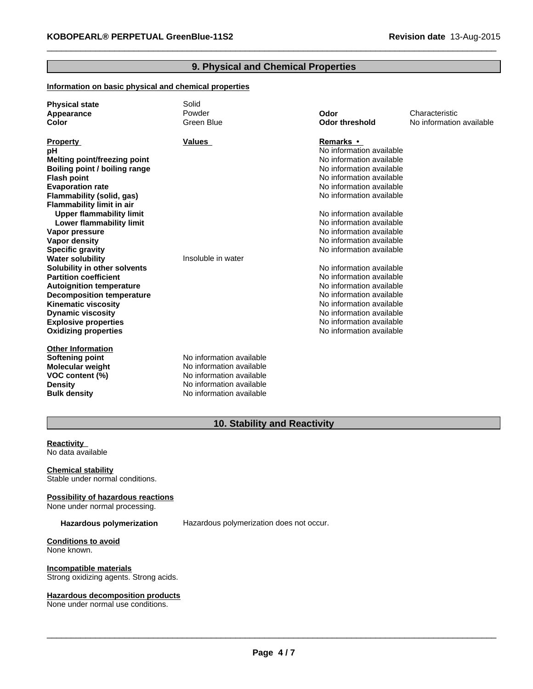### **9. Physical and Chemical Properties**

 $\_$  ,  $\_$  ,  $\_$  ,  $\_$  ,  $\_$  ,  $\_$  ,  $\_$  ,  $\_$  ,  $\_$  ,  $\_$  ,  $\_$  ,  $\_$  ,  $\_$  ,  $\_$  ,  $\_$  ,  $\_$  ,  $\_$  ,  $\_$  ,  $\_$  ,  $\_$  ,  $\_$  ,  $\_$  ,  $\_$  ,  $\_$  ,  $\_$  ,  $\_$  ,  $\_$  ,  $\_$  ,  $\_$  ,  $\_$  ,  $\_$  ,  $\_$  ,  $\_$  ,  $\_$  ,  $\_$  ,  $\_$  ,  $\_$  ,

### **Information on basic physical and chemical properties**

| <b>Physical state</b>            | Solid                    |                          |                          |
|----------------------------------|--------------------------|--------------------------|--------------------------|
| Appearance                       | Powder                   | Odor                     | Characteristic           |
| <b>Color</b>                     | Green Blue               | <b>Odor threshold</b>    | No information available |
|                                  |                          |                          |                          |
| <b>Property</b>                  | <b>Values</b>            | Remarks •                |                          |
| рH                               |                          | No information available |                          |
| Melting point/freezing point     |                          | No information available |                          |
| Boiling point / boiling range    |                          | No information available |                          |
| <b>Flash point</b>               |                          | No information available |                          |
| <b>Evaporation rate</b>          |                          | No information available |                          |
| Flammability (solid, gas)        |                          | No information available |                          |
| <b>Flammability limit in air</b> |                          |                          |                          |
| <b>Upper flammability limit</b>  |                          | No information available |                          |
| Lower flammability limit         |                          | No information available |                          |
| Vapor pressure                   |                          | No information available |                          |
| <b>Vapor density</b>             |                          | No information available |                          |
| <b>Specific gravity</b>          |                          | No information available |                          |
| <b>Water solubility</b>          | Insoluble in water       |                          |                          |
| Solubility in other solvents     |                          | No information available |                          |
| <b>Partition coefficient</b>     |                          | No information available |                          |
| <b>Autoignition temperature</b>  |                          | No information available |                          |
| <b>Decomposition temperature</b> |                          | No information available |                          |
| <b>Kinematic viscosity</b>       |                          | No information available |                          |
| <b>Dynamic viscosity</b>         |                          | No information available |                          |
| <b>Explosive properties</b>      |                          | No information available |                          |
| <b>Oxidizing properties</b>      |                          | No information available |                          |
|                                  |                          |                          |                          |
| <b>Other Information</b>         |                          |                          |                          |
| <b>Softening point</b>           | No information available |                          |                          |
| Molecular weight                 | No information available |                          |                          |
| VOC content (%)                  | No information available |                          |                          |
| <b>Density</b>                   | No information available |                          |                          |
| <b>Bulk density</b>              | No information available |                          |                          |

# **10. Stability and Reactivity**

**Reactivity**  No data available

**Chemical stability** Stable under normal conditions.

**Possibility of hazardous reactions** None under normal processing.

**Hazardous polymerization** Hazardous polymerization does not occur.

**Conditions to avoid** None known.

**Incompatible materials** Strong oxidizing agents. Strong acids.

### **Hazardous decomposition products**

None under normal use conditions.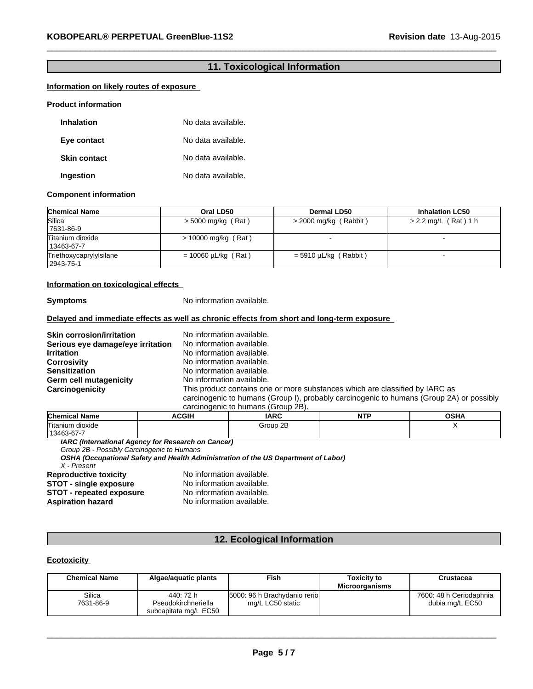### **11. Toxicological Information**

 $\_$  ,  $\_$  ,  $\_$  ,  $\_$  ,  $\_$  ,  $\_$  ,  $\_$  ,  $\_$  ,  $\_$  ,  $\_$  ,  $\_$  ,  $\_$  ,  $\_$  ,  $\_$  ,  $\_$  ,  $\_$  ,  $\_$  ,  $\_$  ,  $\_$  ,  $\_$  ,  $\_$  ,  $\_$  ,  $\_$  ,  $\_$  ,  $\_$  ,  $\_$  ,  $\_$  ,  $\_$  ,  $\_$  ,  $\_$  ,  $\_$  ,  $\_$  ,  $\_$  ,  $\_$  ,  $\_$  ,  $\_$  ,  $\_$  ,

### **Information on likely routes of exposure**

### **Product information**

| <b>Inhalation</b>   | No data available. |
|---------------------|--------------------|
| Eye contact         | No data available. |
| <b>Skin contact</b> | No data available. |
| Ingestion           | No data available. |

### **Component information**

| <b>Chemical Name</b>                   | Oral LD50                | Dermal LD50             | <b>Inhalation LC50</b> |
|----------------------------------------|--------------------------|-------------------------|------------------------|
| Silica<br>7631-86-9                    | $>$ 5000 mg/kg (Rat)     | $>$ 2000 mg/kg (Rabbit) | $> 2.2$ mg/L (Rat) 1 h |
| Titanium dioxide<br>13463-67-7         | $> 10000$ mg/kg (Rat)    |                         |                        |
| Triethoxycaprylylsilane<br>  2943-75-1 | $= 10060 \mu L/kg$ (Rat) | $=$ 5910 µL/kg (Rabbit) |                        |

### **Information on toxicological effects**

**Symptoms** No information available.

### **Delayed and immediate effects as well as chronic effects from short and long-term exposure**

**Skin corrosion/irritation** No information available.<br>**Serious eve damage/eve irritation** No information available. **Serious eye damage/eye irritation Irritation**<br> **Corrosivity** No information available.<br>
No information available. **Corrosivity Corrosivity No information available.**<br> **Sensitization** Mo information available. **Germ cell mutagenicity** 

No information available.<br>No information available. **Carcinogenicity** This product contains one or more substances which are classified by IARC as carcinogenic to humans (Group I), probably carcinogenic to humans (Group 2A) or possibly carcinogenic to humans (Group 2B).

| <b>Chemical Name</b>           | <b>ACGIF</b> | <b>IARC</b> | NTI | $\sim$ u $\prime$ |
|--------------------------------|--------------|-------------|-----|-------------------|
| Titanium dioxide<br>13463-67-7 |              | Group 2B    |     |                   |

*IARC (International Agency for Research on Cancer)*

*Group 2B - Possibly Carcinogenic to Humans*

*OSHA (Occupational Safety and Health Administration of the US Department of Labor)*

*X - Present*

**STOT - repeated exposure<br>Aspiration hazard** 

**Reproductive toxicity** No information available.<br>**STOT - single exposure** No information available. **STOT - single exposure** No information available.<br> **STOT - repeated exposure** No information available. No information available.

### **12. Ecological Information**

### **Ecotoxicity**

| <b>Chemical Name</b> | Algae/aguatic plants             | Fish                                             | <b>Toxicity to</b><br><b>Microorganisms</b> | Crustacea                                  |
|----------------------|----------------------------------|--------------------------------------------------|---------------------------------------------|--------------------------------------------|
| Silica<br>7631-86-9  | 440: 72 h<br>Pseudokirchneriella | 5000: 96 h Brachydanio rerio<br>mg/L LC50 static |                                             | 7600: 48 h Ceriodaphnia<br>dubia mg/L EC50 |
|                      | subcapitata mg/L EC50            |                                                  |                                             |                                            |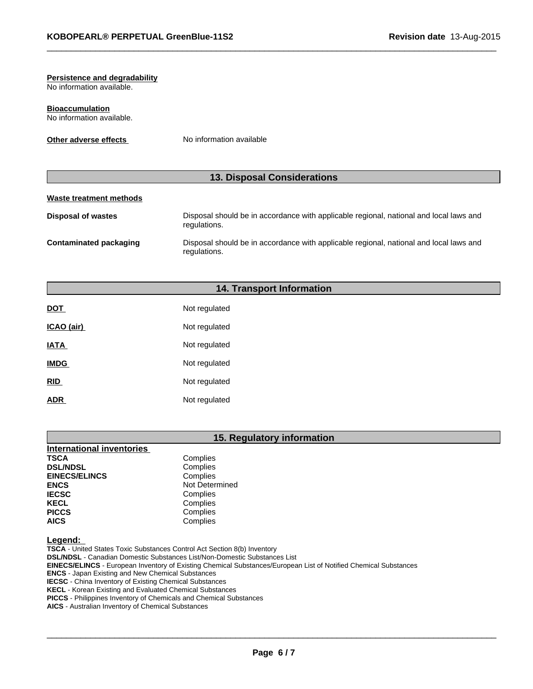# **Persistence and degradability**

No information available.

**Bioaccumulation** No information available.

**Other adverse effects** No information available

# **13. Disposal Considerations**

 $\_$  ,  $\_$  ,  $\_$  ,  $\_$  ,  $\_$  ,  $\_$  ,  $\_$  ,  $\_$  ,  $\_$  ,  $\_$  ,  $\_$  ,  $\_$  ,  $\_$  ,  $\_$  ,  $\_$  ,  $\_$  ,  $\_$  ,  $\_$  ,  $\_$  ,  $\_$  ,  $\_$  ,  $\_$  ,  $\_$  ,  $\_$  ,  $\_$  ,  $\_$  ,  $\_$  ,  $\_$  ,  $\_$  ,  $\_$  ,  $\_$  ,  $\_$  ,  $\_$  ,  $\_$  ,  $\_$  ,  $\_$  ,  $\_$  ,

# **Waste treatment methods**

| Disposal of wastes     | Disposal should be in accordance with applicable regional, national and local laws and<br>regulations. |
|------------------------|--------------------------------------------------------------------------------------------------------|
| Contaminated packaging | Disposal should be in accordance with applicable regional, national and local laws and<br>regulations. |

### **14. Transport Information**

| <b>DOT</b>  | Not regulated |
|-------------|---------------|
| ICAO (air)  | Not regulated |
| <b>IATA</b> | Not regulated |
| <b>IMDG</b> | Not regulated |
| <b>RID</b>  | Not regulated |
| <b>ADR</b>  | Not regulated |

### **15. Regulatory information**

| <b>International inventories</b> |                |
|----------------------------------|----------------|
| <b>TSCA</b>                      | Complies       |
| <b>DSL/NDSL</b>                  | Complies       |
| <b>EINECS/ELINCS</b>             | Complies       |
| <b>ENCS</b>                      | Not Determined |
| <b>IECSC</b>                     | Complies       |
| <b>KECL</b>                      | Complies       |
| <b>PICCS</b>                     | Complies       |
| <b>AICS</b>                      | Complies       |

**Legend:** 

**TSCA** - United States Toxic Substances Control Act Section 8(b) Inventory **DSL/NDSL** - Canadian Domestic Substances List/Non-Domestic Substances List **EINECS/ELINCS** - European Inventory of Existing Chemical Substances/European List of Notified Chemical Substances **ENCS** - Japan Existing and New Chemical Substances **IECSC** - China Inventory of Existing Chemical Substances **KECL** - Korean Existing and Evaluated Chemical Substances **PICCS** - Philippines Inventory of Chemicals and Chemical Substances **AICS** - Australian Inventory of Chemical Substances